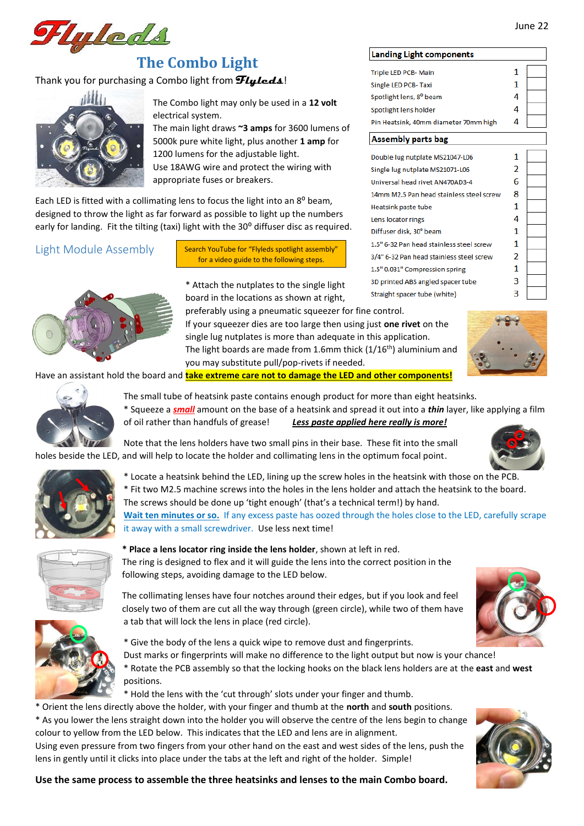

# **The Combo Light**

## Thank you for purchasing a Combo light from **Flyleds**!



The Combo light may only be used in a **12 volt** electrical system.

The main light draws **~3 amps** for 3600 lumens of 5000k pure white light, plus another **1 amp** for 1200 lumens for the adjustable light. Use 18AWG wire and protect the wiring with appropriate fuses or breakers.

Each LED is fitted with a collimating lens to focus the light into an 8<sup>o</sup> beam. designed to throw the light as far forward as possible to light up the numbers early for landing. Fit the tilting (taxi) light with the 30° diffuser disc as required.

## Light Module Assembly

Search YouTube for "Flyleds spotlight assembly" for a video guide to the following steps.

\* Attach the nutplates to the single light board in the locations as shown at right,

preferably using a pneumatic squeezer for fine control. If your squeezer dies are too large then using just **one rivet** on the single lug nutplates is more than adequate in this application. The light boards are made from 1.6mm thick  $(1/16<sup>th</sup>)$  aluminium and you may substitute pull/pop-rivets if needed.



Have an assistant hold the board and **take extreme care not to damage the LED and other components!**



The small tube of heatsink paste contains enough product for more than eight heatsinks.

\* Squeeze a *small* amount on the base of a heatsink and spread it out into a *thin* layer, like applying a film of oil rather than handfuls of grease! *Less paste applied here really is more!*

Note that the lens holders have two small pins in their base. These fit into the small holes beside the LED, and will help to locate the holder and collimating lens in the optimum focal point.



\* Locate a heatsink behind the LED, lining up the screw holes in the heatsink with those on the PCB. \* Fit two M2.5 machine screws into the holes in the lens holder and attach the heatsink to the board. The screws should be done up 'tight enough' (that's a technical term!) by hand. **Wait ten minutes or so.** If any excess paste has oozed through the holes close to the LED, carefully scrape it away with a small screwdriver. Use less next time!



- 
- **\* Place a lens locator ring inside the lens holder**, shown at left in red.

The ring is designed to flex and it will guide the lens into the correct position in the following steps, avoiding damage to the LED below.

The collimating lenses have four notches around their edges, but if you look and feel closely two of them are cut all the way through (green circle), while two of them have a tab that will lock the lens in place (red circle).

\* Give the body of the lens a quick wipe to remove dust and fingerprints.

Dust marks or fingerprints will make no difference to the light output but now is your chance! \* Rotate the PCB assembly so that the locking hooks on the black lens holders are at the **east** and **west** positions.

\* Hold the lens with the 'cut through' slots under your finger and thumb.

\* Orient the lens directly above the holder, with your finger and thumb at the **north** and **south** positions. \* As you lower the lens straight down into the holder you will observe the centre of the lens begin to change colour to yellow from the LED below. This indicates that the LED and lens are in alignment.

Using even pressure from two fingers from your other hand on the east and west sides of the lens, push the lens in gently until it clicks into place under the tabs at the left and right of the holder. Simple!

## **Landing Light components**

Triple LED PCB- Main 1 Single LED PCB- Taxi 1 Spotlight lens, 8° beam  $\overline{\mathbf{A}}$ 4 Spotlight lens holder Pin Heatsink, 40mm diameter 70mm high 4

#### Assembly parts bag

| Double lug nutplate MS21047-L06          | 1 |  |
|------------------------------------------|---|--|
| Single lug nutplate MS21071-L06          | 2 |  |
| Universal head rivet AN470AD3-4          | 6 |  |
| 14mm M2.5 Pan head stainless steel screw | 8 |  |
| Heatsink paste tube                      | 1 |  |
| Lens locator rings                       | 4 |  |
| Diffuser disk, 30° beam                  | 1 |  |
| 1.5" 6-32 Pan head stainless steel screw | 1 |  |
| 3/4" 6-32 Pan head stainless steel screw | 2 |  |
| 1.5" 0.031" Compression spring           | 1 |  |
| 3D printed ABS angled spacer tube        | 3 |  |
| Straight spacer tube (white)             | 3 |  |



**Use the same process to assemble the three heatsinks and lenses to the main Combo board.**